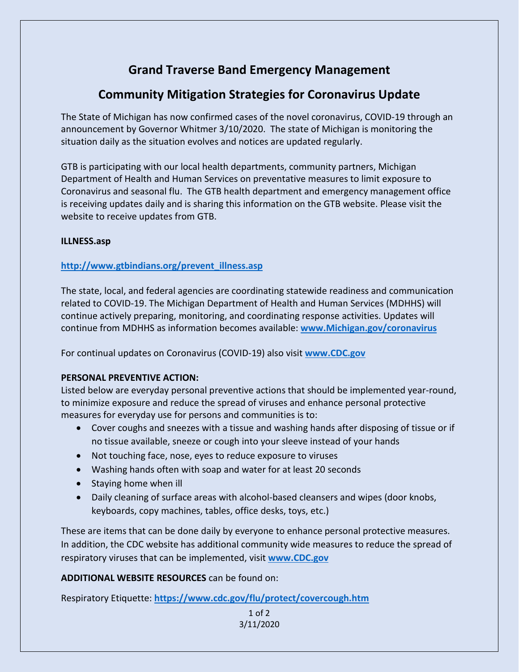# **Grand Traverse Band Emergency Management**

## **Community Mitigation Strategies for Coronavirus Update**

The State of Michigan has now confirmed cases of the novel coronavirus, COVID-19 through an announcement by Governor Whitmer 3/10/2020. The state of Michigan is monitoring the situation daily as the situation evolves and notices are updated regularly.

GTB is participating with our local health departments, community partners, Michigan Department of Health and Human Services on preventative measures to limit exposure to Coronavirus and seasonal flu. The GTB health department and emergency management office is receiving updates daily and is sharing this information on the GTB website. Please visit the website to receive updates from GTB.

#### **ILLNESS.asp**

### **[http://www.gtbindians.org/prevent\\_illness.asp](http://www.gtbindians.org/prevent_illness.asp)**

The state, local, and federal agencies are coordinating statewide readiness and communication related to COVID-19. The Michigan Department of Health and Human Services (MDHHS) will continue actively preparing, monitoring, and coordinating response activities. Updates will continue from MDHHS as information becomes available: **[www.Michigan.gov/coronavirus](http://www.michigan.gov/coronavirus)**

For continual updates on Coronavirus (COVID-19) also visit **[www.CDC.gov](http://www.cdc.gov/)**

### **PERSONAL PREVENTIVE ACTION:**

Listed below are everyday personal preventive actions that should be implemented year-round, to minimize exposure and reduce the spread of viruses and enhance personal protective measures for everyday use for persons and communities is to:

- Cover coughs and sneezes with a tissue and washing hands after disposing of tissue or if no tissue available, sneeze or cough into your sleeve instead of your hands
- Not touching face, nose, eyes to reduce exposure to viruses
- Washing hands often with soap and water for at least 20 seconds
- Staying home when ill
- Daily cleaning of surface areas with alcohol-based cleansers and wipes (door knobs, keyboards, copy machines, tables, office desks, toys, etc.)

These are items that can be done daily by everyone to enhance personal protective measures. In addition, the CDC website has additional community wide measures to reduce the spread of respiratory viruses that can be implemented, visit **[www.CDC.gov](http://www.cdc.gov/)**

### **ADDITIONAL WEBSITE RESOURCES** can be found on:

Respiratory Etiquette: **<https://www.cdc.gov/flu/protect/covercough.htm>**

1 of 2 3/11/2020